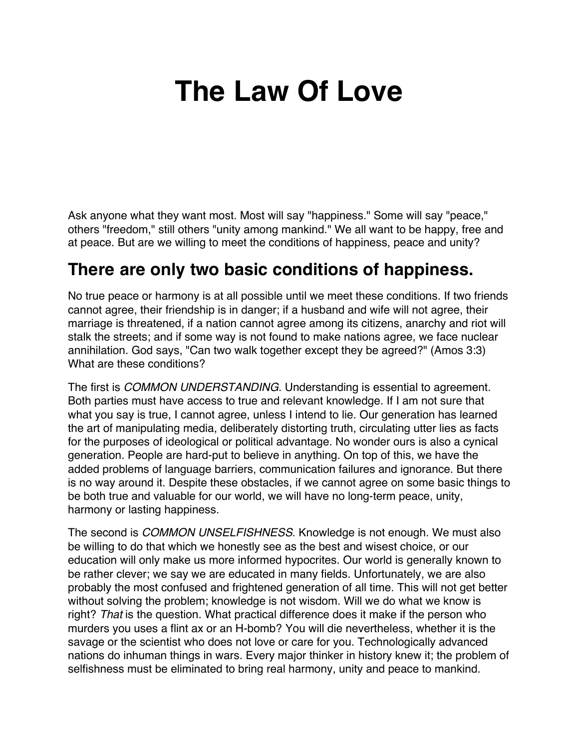# **The Law Of Love**

Ask anyone what they want most. Most will say "happiness." Some will say "peace," others "freedom," still others "unity among mankind." We all want to be happy, free and at peace. But are we willing to meet the conditions of happiness, peace and unity?

#### **There are only two basic conditions of happiness.**

No true peace or harmony is at all possible until we meet these conditions. If two friends cannot agree, their friendship is in danger; if a husband and wife will not agree, their marriage is threatened, if a nation cannot agree among its citizens, anarchy and riot will stalk the streets; and if some way is not found to make nations agree, we face nuclear annihilation. God says, "Can two walk together except they be agreed?" (Amos 3:3) What are these conditions?

The first is *COMMON UNDERSTANDING*. Understanding is essential to agreement. Both parties must have access to true and relevant knowledge. If I am not sure that what you say is true, I cannot agree, unless I intend to lie. Our generation has learned the art of manipulating media, deliberately distorting truth, circulating utter lies as facts for the purposes of ideological or political advantage. No wonder ours is also a cynical generation. People are hard-put to believe in anything. On top of this, we have the added problems of language barriers, communication failures and ignorance. But there is no way around it. Despite these obstacles, if we cannot agree on some basic things to be both true and valuable for our world, we will have no long-term peace, unity, harmony or lasting happiness.

The second is *COMMON UNSELFISHNESS*. Knowledge is not enough. We must also be willing to do that which we honestly see as the best and wisest choice, or our education will only make us more informed hypocrites. Our world is generally known to be rather clever; we say we are educated in many fields. Unfortunately, we are also probably the most confused and frightened generation of all time. This will not get better without solving the problem; knowledge is not wisdom. Will we do what we know is right? *That* is the question. What practical difference does it make if the person who murders you uses a flint ax or an H-bomb? You will die nevertheless, whether it is the savage or the scientist who does not love or care for you. Technologically advanced nations do inhuman things in wars. Every major thinker in history knew it; the problem of selfishness must be eliminated to bring real harmony, unity and peace to mankind.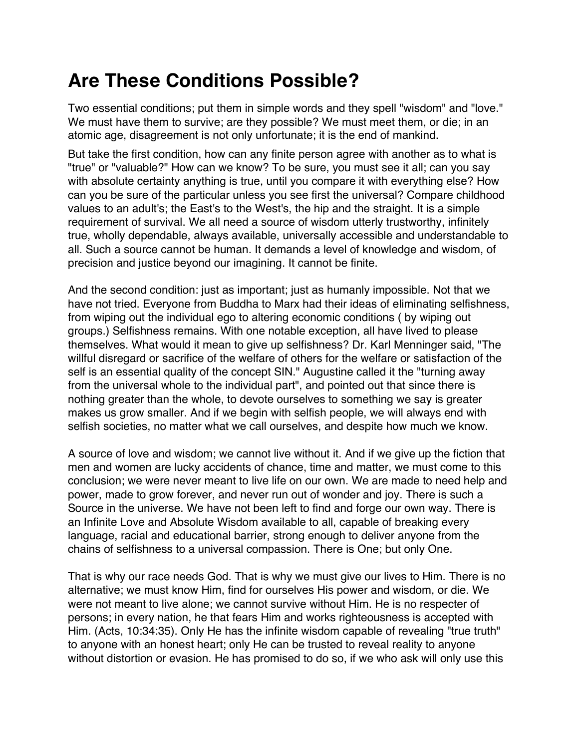## **Are These Conditions Possible?**

Two essential conditions; put them in simple words and they spell "wisdom" and "love." We must have them to survive; are they possible? We must meet them, or die; in an atomic age, disagreement is not only unfortunate; it is the end of mankind.

But take the first condition, how can any finite person agree with another as to what is "true" or "valuable?" How can we know? To be sure, you must see it all; can you say with absolute certainty anything is true, until you compare it with everything else? How can you be sure of the particular unless you see first the universal? Compare childhood values to an adult's; the East's to the West's, the hip and the straight. It is a simple requirement of survival. We all need a source of wisdom utterly trustworthy, infinitely true, wholly dependable, always available, universally accessible and understandable to all. Such a source cannot be human. It demands a level of knowledge and wisdom, of precision and justice beyond our imagining. It cannot be finite.

And the second condition: just as important; just as humanly impossible. Not that we have not tried. Everyone from Buddha to Marx had their ideas of eliminating selfishness, from wiping out the individual ego to altering economic conditions ( by wiping out groups.) Selfishness remains. With one notable exception, all have lived to please themselves. What would it mean to give up selfishness? Dr. Karl Menninger said, "The willful disregard or sacrifice of the welfare of others for the welfare or satisfaction of the self is an essential quality of the concept SIN." Augustine called it the "turning away from the universal whole to the individual part", and pointed out that since there is nothing greater than the whole, to devote ourselves to something we say is greater makes us grow smaller. And if we begin with selfish people, we will always end with selfish societies, no matter what we call ourselves, and despite how much we know.

A source of love and wisdom; we cannot live without it. And if we give up the fiction that men and women are lucky accidents of chance, time and matter, we must come to this conclusion; we were never meant to live life on our own. We are made to need help and power, made to grow forever, and never run out of wonder and joy. There is such a Source in the universe. We have not been left to find and forge our own way. There is an Infinite Love and Absolute Wisdom available to all, capable of breaking every language, racial and educational barrier, strong enough to deliver anyone from the chains of selfishness to a universal compassion. There is One; but only One.

That is why our race needs God. That is why we must give our lives to Him. There is no alternative; we must know Him, find for ourselves His power and wisdom, or die. We were not meant to live alone; we cannot survive without Him. He is no respecter of persons; in every nation, he that fears Him and works righteousness is accepted with Him. (Acts, 10:34:35). Only He has the infinite wisdom capable of revealing "true truth" to anyone with an honest heart; only He can be trusted to reveal reality to anyone without distortion or evasion. He has promised to do so, if we who ask will only use this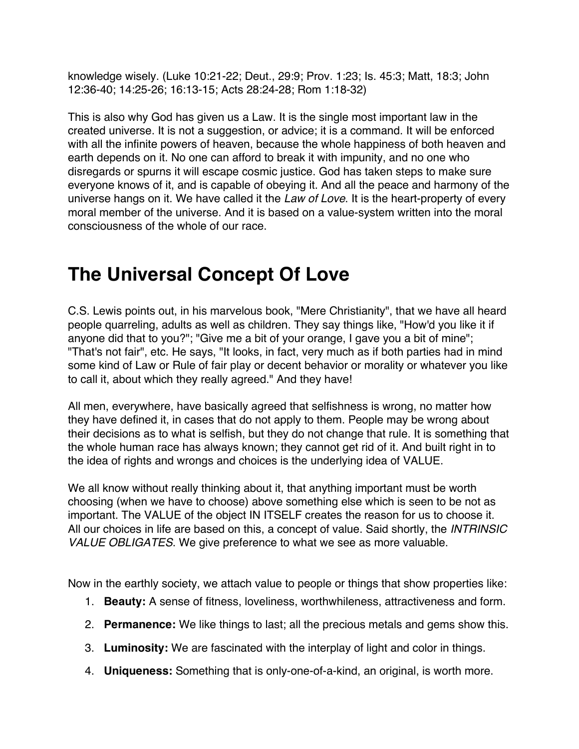knowledge wisely. (Luke 10:21-22; Deut., 29:9; Prov. 1:23; Is. 45:3; Matt, 18:3; John 12:36-40; 14:25-26; 16:13-15; Acts 28:24-28; Rom 1:18-32)

This is also why God has given us a Law. It is the single most important law in the created universe. It is not a suggestion, or advice; it is a command. It will be enforced with all the infinite powers of heaven, because the whole happiness of both heaven and earth depends on it. No one can afford to break it with impunity, and no one who disregards or spurns it will escape cosmic justice. God has taken steps to make sure everyone knows of it, and is capable of obeying it. And all the peace and harmony of the universe hangs on it. We have called it the *Law of Love*. It is the heart-property of every moral member of the universe. And it is based on a value-system written into the moral consciousness of the whole of our race.

#### **The Universal Concept Of Love**

C.S. Lewis points out, in his marvelous book, "Mere Christianity", that we have all heard people quarreling, adults as well as children. They say things like, "How'd you like it if anyone did that to you?"; "Give me a bit of your orange, I gave you a bit of mine"; "That's not fair", etc. He says, "It looks, in fact, very much as if both parties had in mind some kind of Law or Rule of fair play or decent behavior or morality or whatever you like to call it, about which they really agreed." And they have!

All men, everywhere, have basically agreed that selfishness is wrong, no matter how they have defined it, in cases that do not apply to them. People may be wrong about their decisions as to what is selfish, but they do not change that rule. It is something that the whole human race has always known; they cannot get rid of it. And built right in to the idea of rights and wrongs and choices is the underlying idea of VALUE.

We all know without really thinking about it, that anything important must be worth choosing (when we have to choose) above something else which is seen to be not as important. The VALUE of the object IN ITSELF creates the reason for us to choose it. All our choices in life are based on this, a concept of value. Said shortly, the *INTRINSIC VALUE OBLIGATES*. We give preference to what we see as more valuable.

Now in the earthly society, we attach value to people or things that show properties like:

- 1. **Beauty:** A sense of fitness, loveliness, worthwhileness, attractiveness and form.
- 2. **Permanence:** We like things to last; all the precious metals and gems show this.
- 3. **Luminosity:** We are fascinated with the interplay of light and color in things.
- 4. **Uniqueness:** Something that is only-one-of-a-kind, an original, is worth more.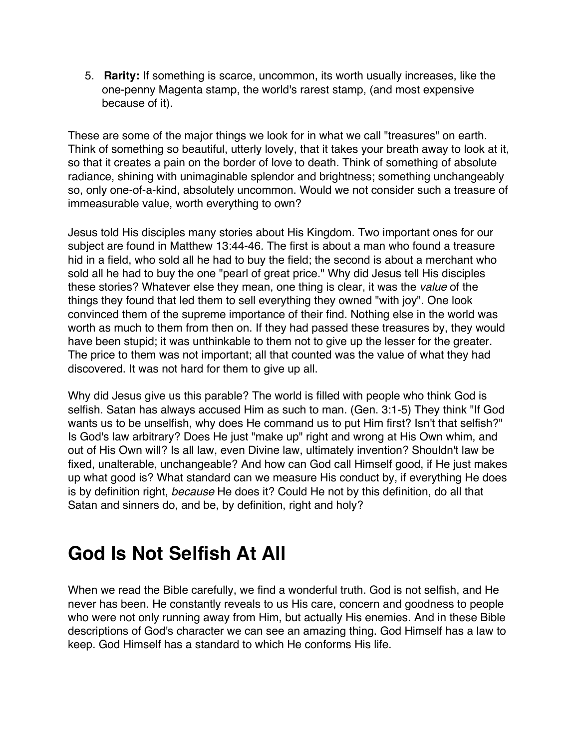5. **Rarity:** If something is scarce, uncommon, its worth usually increases, like the one-penny Magenta stamp, the world's rarest stamp, (and most expensive because of it).

These are some of the major things we look for in what we call "treasures" on earth. Think of something so beautiful, utterly lovely, that it takes your breath away to look at it, so that it creates a pain on the border of love to death. Think of something of absolute radiance, shining with unimaginable splendor and brightness; something unchangeably so, only one-of-a-kind, absolutely uncommon. Would we not consider such a treasure of immeasurable value, worth everything to own?

Jesus told His disciples many stories about His Kingdom. Two important ones for our subject are found in Matthew 13:44-46*.* The first is about a man who found a treasure hid in a field, who sold all he had to buy the field; the second is about a merchant who sold all he had to buy the one "pearl of great price." Why did Jesus tell His disciples these stories? Whatever else they mean, one thing is clear, it was the *value* of the things they found that led them to sell everything they owned "with joy". One look convinced them of the supreme importance of their find. Nothing else in the world was worth as much to them from then on. If they had passed these treasures by, they would have been stupid; it was unthinkable to them not to give up the lesser for the greater. The price to them was not important; all that counted was the value of what they had discovered. It was not hard for them to give up all.

Why did Jesus give us this parable? The world is filled with people who think God is selfish. Satan has always accused Him as such to man. (Gen. 3:1-5) They think "If God wants us to be unselfish, why does He command us to put Him first? Isn't that selfish?" Is God's law arbitrary? Does He just "make up" right and wrong at His Own whim, and out of His Own will? Is all law, even Divine law, ultimately invention? Shouldn't law be fixed, unalterable, unchangeable? And how can God call Himself good, if He just makes up what good is? What standard can we measure His conduct by, if everything He does is by definition right, *because* He does it? Could He not by this definition, do all that Satan and sinners do, and be, by definition, right and holy?

## **God Is Not Selfish At All**

When we read the Bible carefully, we find a wonderful truth. God is not selfish, and He never has been. He constantly reveals to us His care, concern and goodness to people who were not only running away from Him, but actually His enemies. And in these Bible descriptions of God's character we can see an amazing thing. God Himself has a law to keep. God Himself has a standard to which He conforms His life.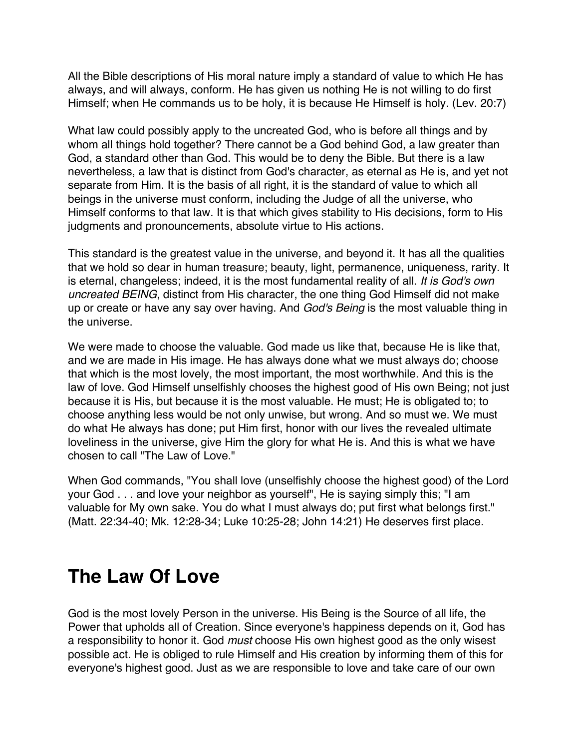All the Bible descriptions of His moral nature imply a standard of value to which He has always, and will always, conform. He has given us nothing He is not willing to do first Himself; when He commands us to be holy, it is because He Himself is holy. (Lev. 20:7)

What law could possibly apply to the uncreated God, who is before all things and by whom all things hold together? There cannot be a God behind God, a law greater than God, a standard other than God. This would be to deny the Bible. But there is a law nevertheless, a law that is distinct from God's character, as eternal as He is, and yet not separate from Him. It is the basis of all right, it is the standard of value to which all beings in the universe must conform, including the Judge of all the universe, who Himself conforms to that law. It is that which gives stability to His decisions, form to His judgments and pronouncements, absolute virtue to His actions.

This standard is the greatest value in the universe, and beyond it. It has all the qualities that we hold so dear in human treasure; beauty, light, permanence, uniqueness, rarity. It is eternal, changeless; indeed, it is the most fundamental reality of all. *It is God's own uncreated BEING*, distinct from His character, the one thing God Himself did not make up or create or have any say over having. And *God's Being* is the most valuable thing in the universe.

We were made to choose the valuable. God made us like that, because He is like that, and we are made in His image. He has always done what we must always do; choose that which is the most lovely, the most important, the most worthwhile. And this is the law of love. God Himself unselfishly chooses the highest good of His own Being; not just because it is His, but because it is the most valuable. He must; He is obligated to; to choose anything less would be not only unwise, but wrong. And so must we. We must do what He always has done; put Him first, honor with our lives the revealed ultimate loveliness in the universe, give Him the glory for what He is. And this is what we have chosen to call "The Law of Love."

When God commands, "You shall love (unselfishly choose the highest good) of the Lord your God . . . and love your neighbor as yourself", He is saying simply this; "I am valuable for My own sake. You do what I must always do; put first what belongs first." (Matt. 22:34-40; Mk. 12:28-34; Luke 10:25-28; John 14:21) He deserves first place.

#### **The Law Of Love**

God is the most lovely Person in the universe. His Being is the Source of all life, the Power that upholds all of Creation. Since everyone's happiness depends on it, God has a responsibility to honor it. God *must* choose His own highest good as the only wisest possible act. He is obliged to rule Himself and His creation by informing them of this for everyone's highest good. Just as we are responsible to love and take care of our own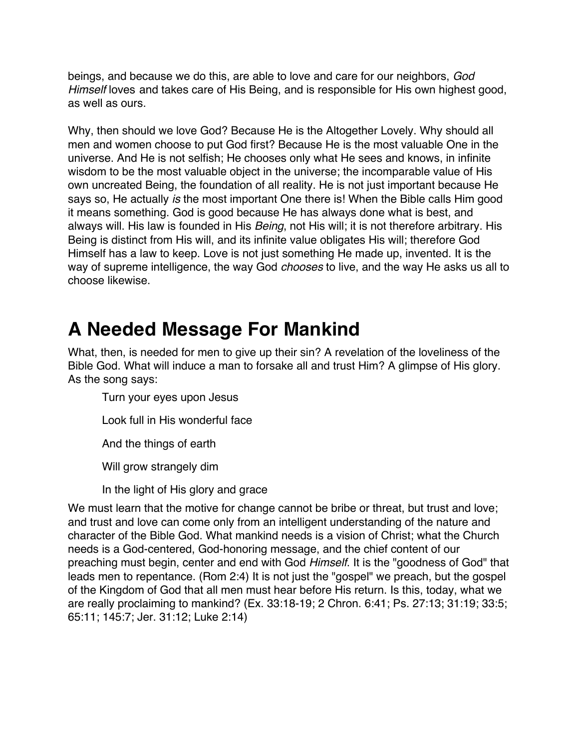beings, and because we do this, are able to love and care for our neighbors, *God Himself* loves and takes care of His Being, and is responsible for His own highest good, as well as ours.

Why, then should we love God? Because He is the Altogether Lovely. Why should all men and women choose to put God first? Because He is the most valuable One in the universe. And He is not selfish; He chooses only what He sees and knows, in infinite wisdom to be the most valuable object in the universe; the incomparable value of His own uncreated Being, the foundation of all reality. He is not just important because He says so, He actually *is* the most important One there is! When the Bible calls Him good it means something. God is good because He has always done what is best, and always will. His law is founded in His *Being*, not His will; it is not therefore arbitrary. His Being is distinct from His will, and its infinite value obligates His will; therefore God Himself has a law to keep. Love is not just something He made up, invented. It is the way of supreme intelligence, the way God *chooses* to live, and the way He asks us all to choose likewise.

#### **A Needed Message For Mankind**

What, then, is needed for men to give up their sin? A revelation of the loveliness of the Bible God. What will induce a man to forsake all and trust Him? A glimpse of His glory. As the song says:

Turn your eyes upon Jesus

Look full in His wonderful face

And the things of earth

Will grow strangely dim

In the light of His glory and grace

We must learn that the motive for change cannot be bribe or threat, but trust and love; and trust and love can come only from an intelligent understanding of the nature and character of the Bible God. What mankind needs is a vision of Christ; what the Church needs is a God-centered, God-honoring message, and the chief content of our preaching must begin, center and end with God *Himself*. It is the "goodness of God" that leads men to repentance. (Rom 2:4) It is not just the "gospel" we preach, but the gospel of the Kingdom of God that all men must hear before His return. Is this, today, what we are really proclaiming to mankind? (Ex. 33:18-19; 2 Chron. 6:41; Ps. 27:13; 31:19; 33:5; 65:11; 145:7; Jer. 31:12; Luke 2:14)